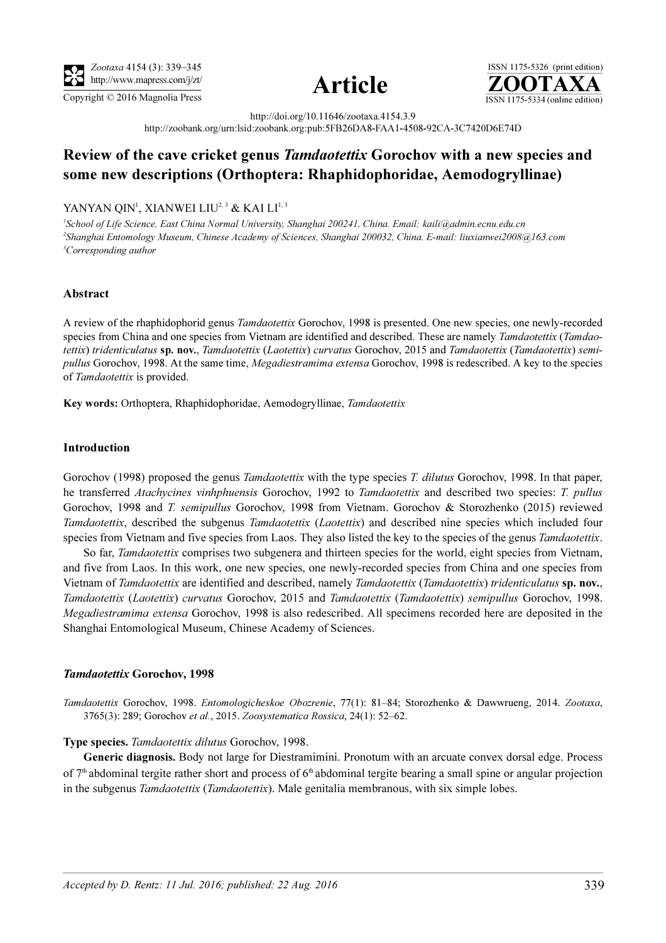





http://doi.org/10.11646/zootaxa.4154.3.9

http://zoobank.org/urn:lsid:zoobank.org:pub:5FB26DA8-FAA1-4508-92CA-3C7420D6E74D

# Review of the cave cricket genus Tamdaotettix Gorochov with a new species and some new descriptions (Orthoptera: Rhaphidophoridae, Aemodogryllinae)

## YANYAN QIN<sup>i</sup>, XIANWEI LIU<sup>2, 3</sup> & KAI LI<sup>1, 3</sup>

<sup>1</sup>School of Life Science, East China Normal University, Shanghai 200241, China. Email: kaili@admin.ecnu.edu.cn 2 Shanghai Entomology Museum, Chinese Academy of Sciences, Shanghai 200032, China. E-mail: liuxianwei2008@163.com <sup>3</sup>Corresponding author

### Abstract

A review of the rhaphidophorid genus Tamdaotettix Gorochov, 1998 is presented. One new species, one newly-recorded species from China and one species from Vietnam are identified and described. These are namely Tamdaotettix (Tamdaotettix) tridenticulatus sp. nov., Tamdaotettix (Laotettix) curvatus Gorochov, 2015 and Tamdaotettix (Tamdaotettix) semipullus Gorochov, 1998. At the same time, Megadiestramima extensa Gorochov, 1998 is redescribed. A key to the species of Tamdaotettix is provided.

Key words: Orthoptera, Rhaphidophoridae, Aemodogryllinae, Tamdaotettix

#### Introduction

Gorochov (1998) proposed the genus *Tamdaotettix* with the type species *T. dilutus* Gorochov, 1998. In that paper, he transferred Atachycines vinhphuensis Gorochov, 1992 to Tamdaotettix and described two species: T. pullus Gorochov, 1998 and T. semipullus Gorochov, 1998 from Vietnam. Gorochov & Storozhenko (2015) reviewed Tamdaotettix, described the subgenus Tamdaotettix (Laotettix) and described nine species which included four species from Vietnam and five species from Laos. They also listed the key to the species of the genus Tamdaotettix.

So far, *Tamdaotettix* comprises two subgenera and thirteen species for the world, eight species from Vietnam, and five from Laos. In this work, one new species, one newly-recorded species from China and one species from Vietnam of Tamdaotettix are identified and described, namely Tamdaotettix (Tamdaotettix) tridenticulatus sp. nov., Tamdaotettix (Laotettix) curvatus Gorochov, 2015 and Tamdaotettix (Tamdaotettix) semipullus Gorochov, 1998. Megadiestramima extensa Gorochov, 1998 is also redescribed. All specimens recorded here are deposited in the Shanghai Entomological Museum, Chinese Academy of Sciences.

#### Tamdaotettix Gorochov, 1998

Tamdaotettix Gorochov, 1998. Entomologicheskoe Obozrenie, 77(1): 81–84; Storozhenko & Dawwrueng, 2014. Zootaxa, 3765(3): 289; Gorochov et al., 2015. Zoosystematica Rossica, 24(1): 52–62.

#### Type species. Tamdaotettix dilutus Gorochov, 1998.

Generic diagnosis. Body not large for Diestramimini. Pronotum with an arcuate convex dorsal edge. Process of  $7<sup>th</sup>$  abdominal tergite rather short and process of  $6<sup>th</sup>$  abdominal tergite bearing a small spine or angular projection in the subgenus *Tamdaotettix* (*Tamdaotettix*). Male genitalia membranous, with six simple lobes.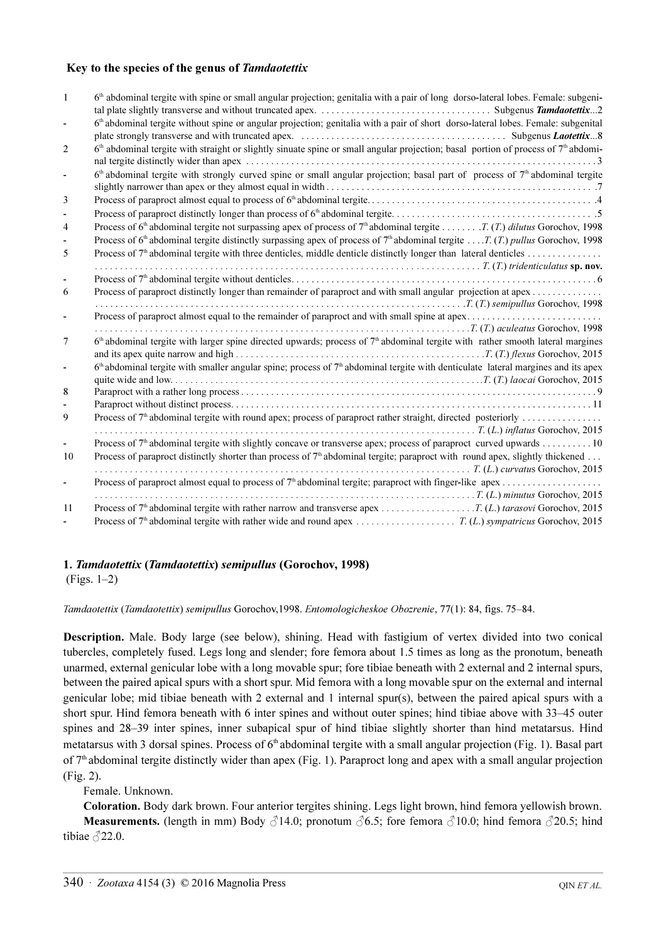### Key to the species of the genus of Tamdaotettix

| $\mathbf{1}$   | 6 <sup>th</sup> abdominal tergite with spine or small angular projection; genitalia with a pair of long dorso-lateral lobes. Female: subgeni-              |
|----------------|------------------------------------------------------------------------------------------------------------------------------------------------------------|
|                |                                                                                                                                                            |
| $\blacksquare$ | 6 <sup>th</sup> abdominal tergite without spine or angular projection; genitalia with a pair of short dorso-lateral lobes. Female: subgenital              |
|                |                                                                                                                                                            |
| 2              | 6 <sup>th</sup> abdominal tergite with straight or slightly sinuate spine or small angular projection; basal portion of process of 7 <sup>th</sup> abdomi- |
|                |                                                                                                                                                            |
|                | $6th$ abdominal tergite with strongly curved spine or small angular projection; basal part of process of $7th$ abdominal tergite                           |
| 3              |                                                                                                                                                            |
|                |                                                                                                                                                            |
| 4              |                                                                                                                                                            |
|                | Process of 6 <sup>th</sup> abdominal tergite distinctly surpassing apex of process of 7 <sup>th</sup> abdominal tergite T. (T.) pullus Gorochov, 1998      |
|                |                                                                                                                                                            |
| 5              |                                                                                                                                                            |
|                |                                                                                                                                                            |
| 6              | Process of paraproct distinctly longer than remainder of paraproct and with small angular projection at apex                                               |
|                |                                                                                                                                                            |
|                |                                                                                                                                                            |
|                | T. (T.) aculeatus Gorochov, 1998.                                                                                                                          |
|                | $6th$ abdominal tergite with larger spine directed upwards; process of $7th$ abdominal tergite with rather smooth lateral margines                         |
| 7              |                                                                                                                                                            |
|                |                                                                                                                                                            |
| $\blacksquare$ | $6th$ abdominal tergite with smaller angular spine; process of $7th$ abdominal tergite with denticulate lateral margines and its apex                      |
|                |                                                                                                                                                            |
| 8              |                                                                                                                                                            |
|                |                                                                                                                                                            |
| 9              | Process of $7th$ abdominal tergite with round apex; process of paraproct rather straight, directed posteriorly                                             |
|                |                                                                                                                                                            |
|                | Process of $7th$ abdominal tergite with slightly concave or transverse apex; process of paraproct curved upwards 10                                        |
| 10             | Process of paraproct distinctly shorter than process of $7^{\text{th}}$ abdominal tergite; paraproct with round apex, slightly thickened                   |
|                | $\ldots$ $T_{\ldots}$ (L.) curvatus Gorochov, 2015                                                                                                         |
|                |                                                                                                                                                            |
|                |                                                                                                                                                            |
| 11             |                                                                                                                                                            |
|                |                                                                                                                                                            |

### 1. Tamdaotettix (Tamdaotettix) semipullus (Gorochov, 1998)

(Figs. 1–2)

Tamdaotettix (Tamdaotettix) semipullus Gorochov,1998. Entomologicheskoe Obozrenie, 77(1): 84, figs. 75–84.

Description. Male. Body large (see below), shining. Head with fastigium of vertex divided into two conical tubercles, completely fused. Legs long and slender; fore femora about 1.5 times as long as the pronotum, beneath unarmed, external genicular lobe with a long movable spur; fore tibiae beneath with 2 external and 2 internal spurs, between the paired apical spurs with a short spur. Mid femora with a long movable spur on the external and internal genicular lobe; mid tibiae beneath with 2 external and 1 internal spur(s), between the paired apical spurs with a short spur. Hind femora beneath with 6 inter spines and without outer spines; hind tibiae above with 33–45 outer spines and 28–39 inter spines, inner subapical spur of hind tibiae slightly shorter than hind metatarsus. Hind metatarsus with 3 dorsal spines. Process of  $6<sup>th</sup>$  abdominal tergite with a small angular projection (Fig. 1). Basal part of  $7<sup>th</sup>$  abdominal tergite distinctly wider than apex (Fig. 1). Paraproct long and apex with a small angular projection (Fig. 2).

Female. Unknown.

Coloration. Body dark brown. Four anterior tergites shining. Legs light brown, hind femora yellowish brown. **Measurements.** (length in mm) Body  $\beta$ 14.0; pronotum  $\beta$ 6.5; fore femora  $\beta$ 10.0; hind femora  $\beta$ 20.5; hind tibiae  $\sqrt{22.0}$ .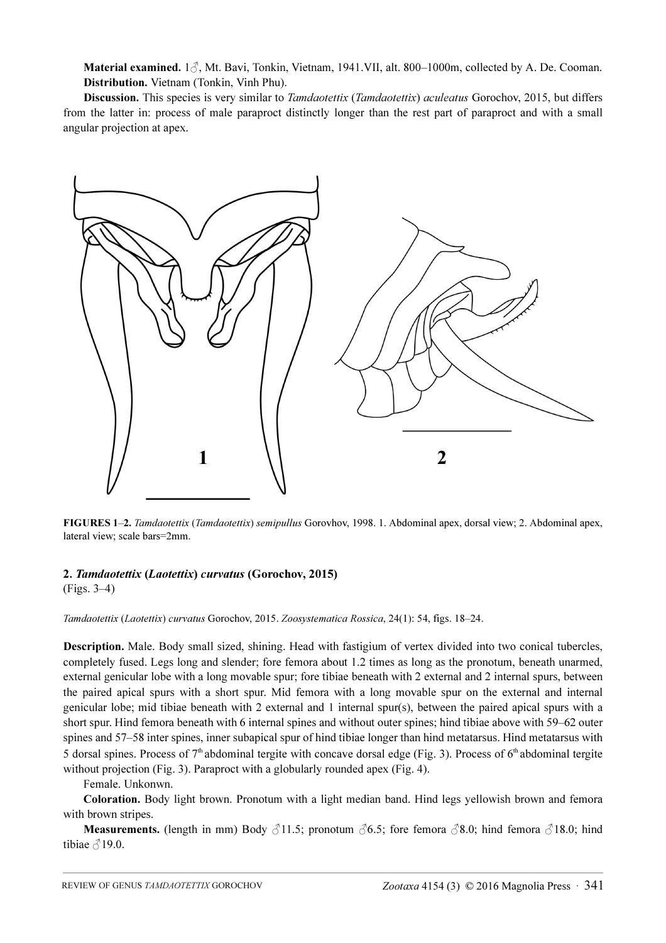Material examined. 1♂, Mt. Bavi, Tonkin, Vietnam, 1941.VII, alt. 800–1000m, collected by A. De. Cooman. Distribution. Vietnam (Tonkin, Vinh Phu).

Discussion. This species is very similar to *Tamdaotettix (Tamdaotettix) aculeatus* Gorochov, 2015, but differs from the latter in: process of male paraproct distinctly longer than the rest part of paraproct and with a small angular projection at apex.



FIGURES 1–2. Tamdaotettix (Tamdaotettix) semipullus Gorovhov, 1998. 1. Abdominal apex, dorsal view; 2. Abdominal apex, lateral view; scale bars=2mm.

## 2. Tamdaotettix (Laotettix) curvatus (Gorochov, 2015)

(Figs. 3–4)

Tamdaotettix (Laotettix) curvatus Gorochov, 2015. Zoosystematica Rossica, 24(1): 54, figs. 18–24.

Description. Male. Body small sized, shining. Head with fastigium of vertex divided into two conical tubercles, completely fused. Legs long and slender; fore femora about 1.2 times as long as the pronotum, beneath unarmed, external genicular lobe with a long movable spur; fore tibiae beneath with 2 external and 2 internal spurs, between the paired apical spurs with a short spur. Mid femora with a long movable spur on the external and internal genicular lobe; mid tibiae beneath with 2 external and 1 internal spur(s), between the paired apical spurs with a short spur. Hind femora beneath with 6 internal spines and without outer spines; hind tibiae above with 59–62 outer spines and 57–58 inter spines, inner subapical spur of hind tibiae longer than hind metatarsus. Hind metatarsus with 5 dorsal spines. Process of  $7<sup>th</sup>$  abdominal tergite with concave dorsal edge (Fig. 3). Process of  $6<sup>th</sup>$  abdominal tergite without projection (Fig. 3). Paraproct with a globularly rounded apex (Fig. 4).

## Female. Unkonwn.

Coloration. Body light brown. Pronotum with a light median band. Hind legs yellowish brown and femora with brown stripes.

**Measurements.** (length in mm) Body  $\beta$ 11.5; pronotum  $\beta$ 6.5; fore femora  $\beta$ 8.0; hind femora  $\beta$ 18.0; hind tibiae  $\triangle$ 19.0.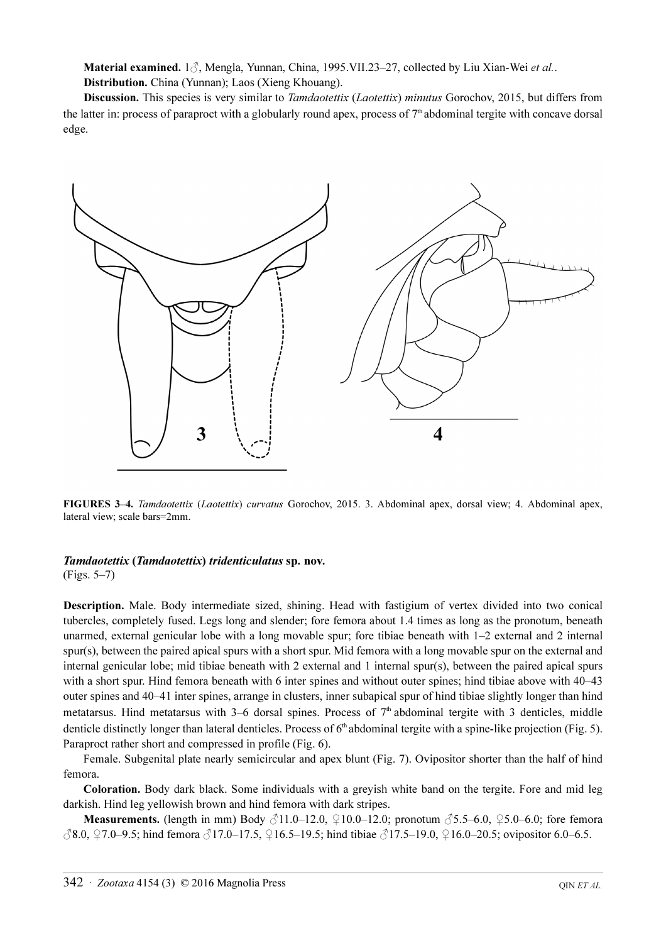Material examined.  $1\delta$ , Mengla, Yunnan, China, 1995. VII.23–27, collected by Liu Xian-Wei et al.. Distribution. China (Yunnan); Laos (Xieng Khouang).

Discussion. This species is very similar to *Tamdaotettix (Laotettix) minutus* Gorochov, 2015, but differs from the latter in: process of paraproct with a globularly round apex, process of  $7<sup>th</sup>$  abdominal tergite with concave dorsal edge.



FIGURES 3-4. Tamdaotettix (Laotettix) curvatus Gorochov, 2015. 3. Abdominal apex, dorsal view; 4. Abdominal apex, lateral view; scale bars=2mm.

## Tamdaotettix (Tamdaotettix) tridenticulatus sp. nov.

(Figs. 5–7)

Description. Male. Body intermediate sized, shining. Head with fastigium of vertex divided into two conical tubercles, completely fused. Legs long and slender; fore femora about 1.4 times as long as the pronotum, beneath unarmed, external genicular lobe with a long movable spur; fore tibiae beneath with 1–2 external and 2 internal spur(s), between the paired apical spurs with a short spur. Mid femora with a long movable spur on the external and internal genicular lobe; mid tibiae beneath with 2 external and 1 internal spur(s), between the paired apical spurs with a short spur. Hind femora beneath with 6 inter spines and without outer spines; hind tibiae above with  $40-43$ outer spines and 40–41 inter spines, arrange in clusters, inner subapical spur of hind tibiae slightly longer than hind metatarsus. Hind metatarsus with 3–6 dorsal spines. Process of 7<sup>th</sup> abdominal tergite with 3 denticles, middle denticle distinctly longer than lateral denticles. Process of  $6<sup>th</sup>$  abdominal tergite with a spine-like projection (Fig. 5). Paraproct rather short and compressed in profile (Fig. 6).

Female. Subgenital plate nearly semicircular and apex blunt (Fig. 7). Ovipositor shorter than the half of hind femora.

Coloration. Body dark black. Some individuals with a greyish white band on the tergite. Fore and mid leg darkish. Hind leg yellowish brown and hind femora with dark stripes.

**Measurements.** (length in mm) Body  $\beta$ 11.0–12.0,  $\Omega$ 10.0–12.0; pronotum  $\beta$ 5.5–6.0,  $\Omega$ 5.0–6.0; fore femora ♂8.0, ♀7.0–9.5; hind femora ♂17.0–17.5, ♀16.5–19.5; hind tibiae ♂17.5–19.0, ♀16.0–20.5; ovipositor 6.0–6.5.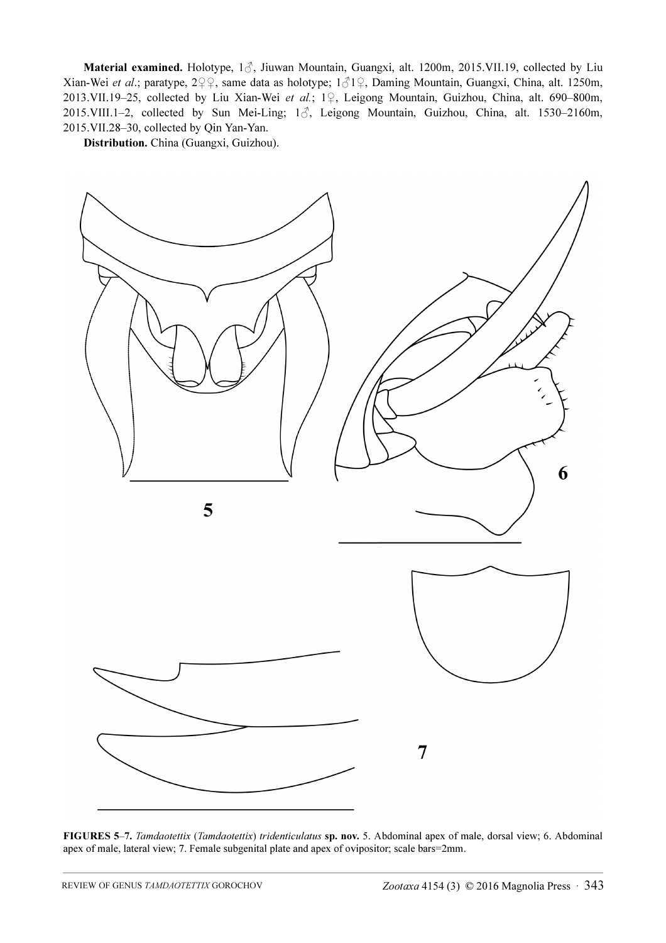Material examined. Holotype, 1♂, Jiuwan Mountain, Guangxi, alt. 1200m, 2015.VII.19, collected by Liu Xian-Wei et al.; paratype, 2♀♀, same data as holotype; 1♂1♀, Daming Mountain, Guangxi, China, alt. 1250m, 2013.VII.19–25, collected by Liu Xian-Wei et al.; 1♀, Leigong Mountain, Guizhou, China, alt. 690–800m, 2015.VIII.1-2, collected by Sun Mei-Ling; 13, Leigong Mountain, Guizhou, China, alt. 1530-2160m, 2015.VII.28–30, collected by Qin Yan-Yan.

Distribution. China (Guangxi, Guizhou).



FIGURES 5–7. Tamdaotettix (Tamdaotettix) tridenticulatus sp. nov. 5. Abdominal apex of male, dorsal view; 6. Abdominal apex of male, lateral view; 7. Female subgenital plate and apex of ovipositor; scale bars=2mm.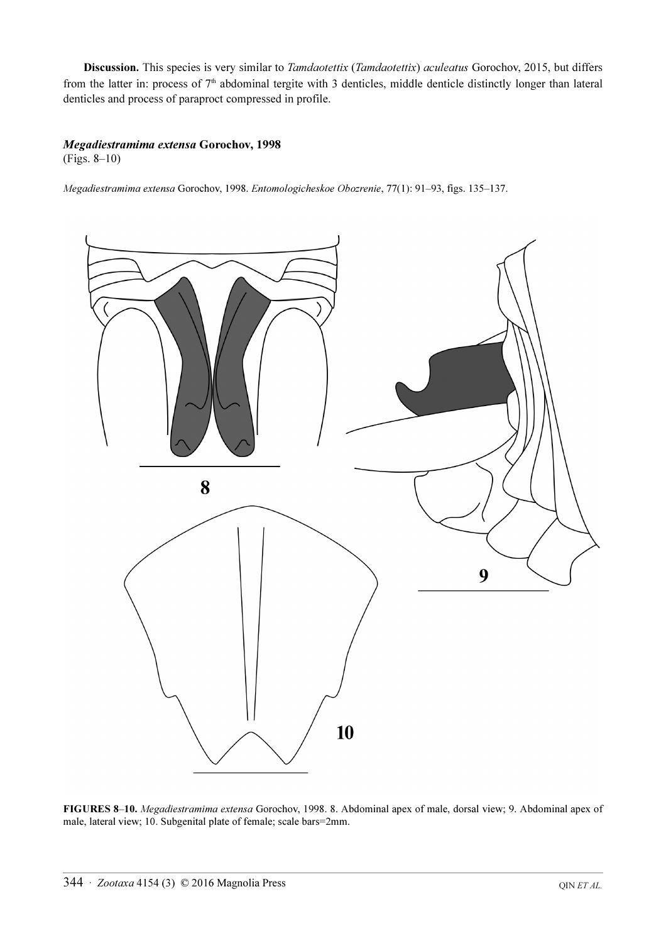Discussion. This species is very similar to Tamdaotettix (Tamdaotettix) aculeatus Gorochov, 2015, but differs from the latter in: process of 7<sup>th</sup> abdominal tergite with 3 denticles, middle denticle distinctly longer than lateral denticles and process of paraproct compressed in profile.

## Megadiestramima extensa Gorochov, 1998

(Figs. 8–10)

Megadiestramima extensa Gorochov, 1998. Entomologicheskoe Obozrenie, 77(1): 91–93, figs. 135–137.



FIGURES 8–10. Megadiestramima extensa Gorochov, 1998. 8. Abdominal apex of male, dorsal view; 9. Abdominal apex of male, lateral view; 10. Subgenital plate of female; scale bars=2mm.